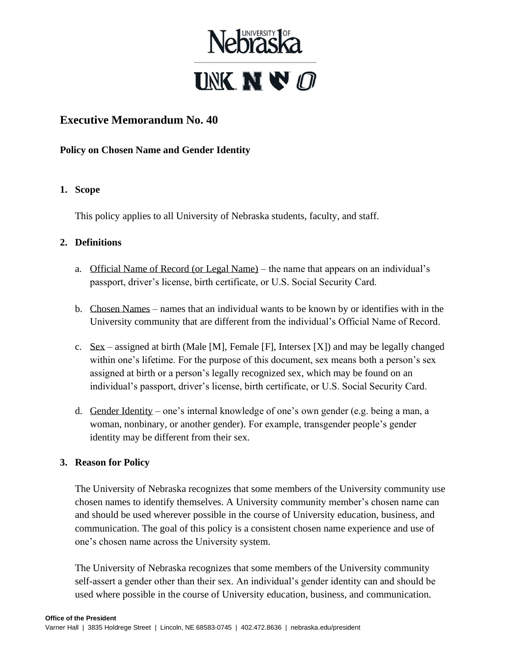

# **Executive Memorandum No. 40**

**Policy on Chosen Name and Gender Identity**

#### **1. Scope**

This policy applies to all University of Nebraska students, faculty, and staff.

#### **2. Definitions**

- a. Official Name of Record (or Legal Name) the name that appears on an individual's passport, driver's license, birth certificate, or U.S. Social Security Card.
- b. Chosen Names names that an individual wants to be known by or identifies with in the University community that are different from the individual's Official Name of Record.
- c. Sex assigned at birth (Male [M], Female [F], Intersex  $[X]$ ) and may be legally changed within one's lifetime. For the purpose of this document, sex means both a person's sex assigned at birth or a person's legally recognized sex, which may be found on an individual's passport, driver's license, birth certificate, or U.S. Social Security Card.
- d. Gender Identity one's internal knowledge of one's own gender (e.g. being a man, a woman, nonbinary, or another gender). For example, transgender people's gender identity may be different from their sex.

#### **3. Reason for Policy**

The University of Nebraska recognizes that some members of the University community use chosen names to identify themselves. A University community member's chosen name can and should be used wherever possible in the course of University education, business, and communication. The goal of this policy is a consistent chosen name experience and use of one's chosen name across the University system.

The University of Nebraska recognizes that some members of the University community self-assert a gender other than their sex. An individual's gender identity can and should be used where possible in the course of University education, business, and communication.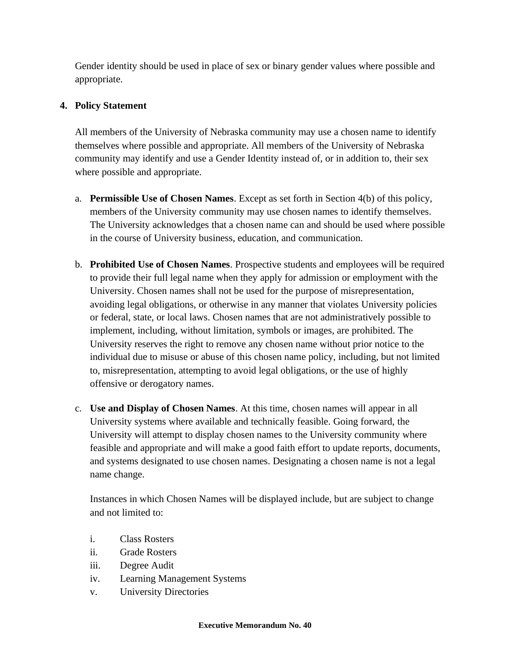Gender identity should be used in place of sex or binary gender values where possible and appropriate.

## **4. Policy Statement**

All members of the University of Nebraska community may use a chosen name to identify themselves where possible and appropriate. All members of the University of Nebraska community may identify and use a Gender Identity instead of, or in addition to, their sex where possible and appropriate.

- a. **Permissible Use of Chosen Names**. Except as set forth in Section 4(b) of this policy, members of the University community may use chosen names to identify themselves. The University acknowledges that a chosen name can and should be used where possible in the course of University business, education, and communication.
- b. **Prohibited Use of Chosen Names**. Prospective students and employees will be required to provide their full legal name when they apply for admission or employment with the University. Chosen names shall not be used for the purpose of misrepresentation, avoiding legal obligations, or otherwise in any manner that violates University policies or federal, state, or local laws. Chosen names that are not administratively possible to implement, including, without limitation, symbols or images, are prohibited. The University reserves the right to remove any chosen name without prior notice to the individual due to misuse or abuse of this chosen name policy, including, but not limited to, misrepresentation, attempting to avoid legal obligations, or the use of highly offensive or derogatory names.
- c. **Use and Display of Chosen Names**. At this time, chosen names will appear in all University systems where available and technically feasible. Going forward, the University will attempt to display chosen names to the University community where feasible and appropriate and will make a good faith effort to update reports, documents, and systems designated to use chosen names. Designating a chosen name is not a legal name change.

Instances in which Chosen Names will be displayed include, but are subject to change and not limited to:

- i. Class Rosters
- ii. Grade Rosters
- iii. Degree Audit
- iv. Learning Management Systems
- v. University Directories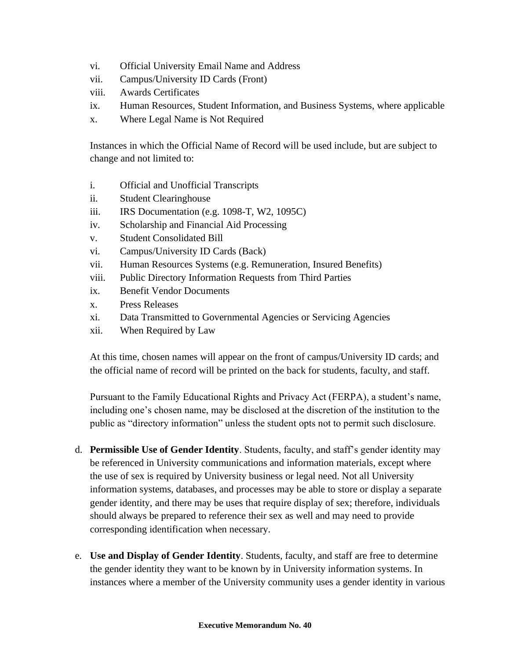- vi. Official University Email Name and Address
- vii. Campus/University ID Cards (Front)
- viii. Awards Certificates
- ix. Human Resources, Student Information, and Business Systems, where applicable
- x. Where Legal Name is Not Required

Instances in which the Official Name of Record will be used include, but are subject to change and not limited to:

- i. Official and Unofficial Transcripts
- ii. Student Clearinghouse
- iii. IRS Documentation (e.g. 1098-T, W2, 1095C)
- iv. Scholarship and Financial Aid Processing
- v. Student Consolidated Bill
- vi. Campus/University ID Cards (Back)
- vii. Human Resources Systems (e.g. Remuneration, Insured Benefits)
- viii. Public Directory Information Requests from Third Parties
- ix. Benefit Vendor Documents
- x. Press Releases
- xi. Data Transmitted to Governmental Agencies or Servicing Agencies
- xii. When Required by Law

At this time, chosen names will appear on the front of campus/University ID cards; and the official name of record will be printed on the back for students, faculty, and staff.

Pursuant to the Family Educational Rights and Privacy Act (FERPA), a student's name, including one's chosen name, may be disclosed at the discretion of the institution to the public as "directory information" unless the student opts not to permit such disclosure.

- d. **Permissible Use of Gender Identity**. Students, faculty, and staff's gender identity may be referenced in University communications and information materials, except where the use of sex is required by University business or legal need. Not all University information systems, databases, and processes may be able to store or display a separate gender identity, and there may be uses that require display of sex; therefore, individuals should always be prepared to reference their sex as well and may need to provide corresponding identification when necessary.
- e. **Use and Display of Gender Identity**. Students, faculty, and staff are free to determine the gender identity they want to be known by in University information systems. In instances where a member of the University community uses a gender identity in various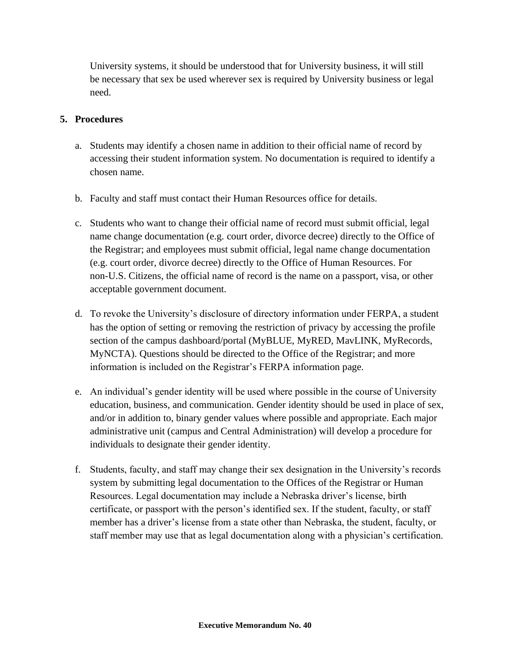University systems, it should be understood that for University business, it will still be necessary that sex be used wherever sex is required by University business or legal need.

#### **5. Procedures**

- a. Students may identify a chosen name in addition to their official name of record by accessing their student information system. No documentation is required to identify a chosen name.
- b. Faculty and staff must contact their Human Resources office for details.
- c. Students who want to change their official name of record must submit official, legal name change documentation (e.g. court order, divorce decree) directly to the Office of the Registrar; and employees must submit official, legal name change documentation (e.g. court order, divorce decree) directly to the Office of Human Resources. For non-U.S. Citizens, the official name of record is the name on a passport, visa, or other acceptable government document.
- d. To revoke the University's disclosure of directory information under FERPA, a student has the option of setting or removing the restriction of privacy by accessing the profile section of the campus dashboard/portal (MyBLUE, MyRED, MavLINK, MyRecords, MyNCTA). Questions should be directed to the Office of the Registrar; and more information is included on the Registrar's FERPA information page.
- e. An individual's gender identity will be used where possible in the course of University education, business, and communication. Gender identity should be used in place of sex, and/or in addition to, binary gender values where possible and appropriate. Each major administrative unit (campus and Central Administration) will develop a procedure for individuals to designate their gender identity.
- f. Students, faculty, and staff may change their sex designation in the University's records system by submitting legal documentation to the Offices of the Registrar or Human Resources. Legal documentation may include a Nebraska driver's license, birth certificate, or passport with the person's identified sex. If the student, faculty, or staff member has a driver's license from a state other than Nebraska, the student, faculty, or staff member may use that as legal documentation along with a physician's certification.